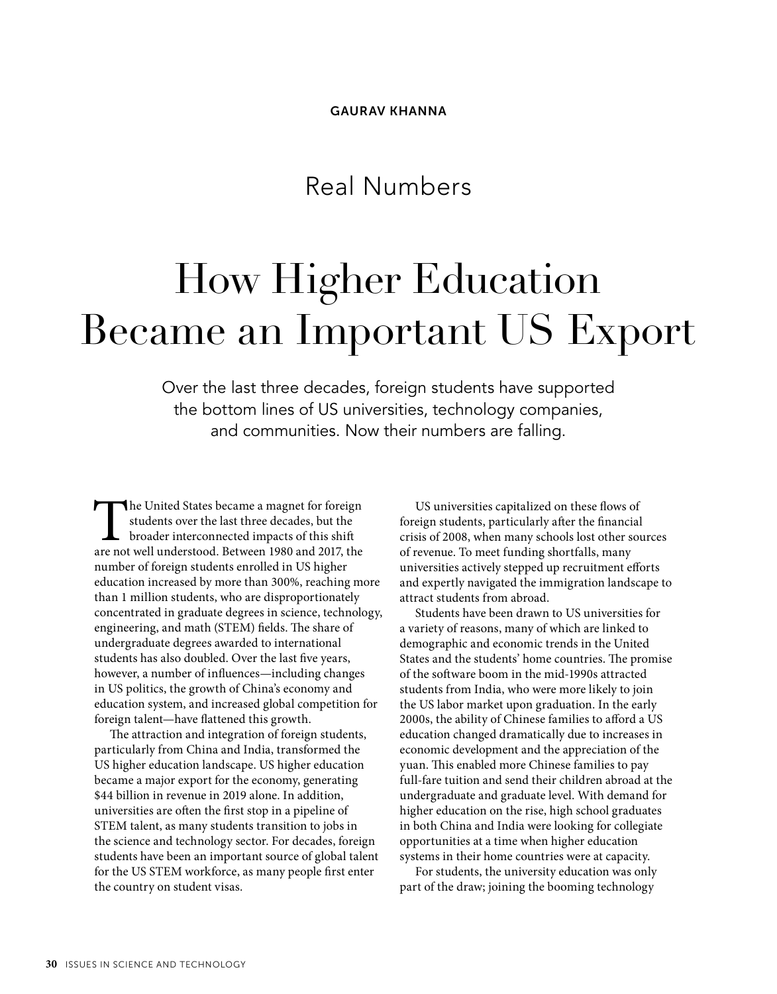# Real Numbers

# How Higher Education Became an Important US Export

Over the last three decades, foreign students have supported the bottom lines of US universities, technology companies, and communities. Now their numbers are falling.

The United States became a magnet for foreign students over the last three decades, but the broader interconnected impacts of this shift are not well understood. Between 1980 and 2017, the students over the last three decades, but the broader interconnected impacts of this shift number of foreign students enrolled in US higher education increased by more than 300%, reaching more than 1 million students, who are disproportionately concentrated in graduate degrees in science, technology, engineering, and math (STEM) fields. The share of undergraduate degrees awarded to international students has also doubled. Over the last five years, however, a number of influences—including changes in US politics, the growth of China's economy and education system, and increased global competition for foreign talent—have flattened this growth.

The attraction and integration of foreign students, particularly from China and India, transformed the US higher education landscape. US higher education became a major export for the economy, generating \$44 billion in revenue in 2019 alone. In addition, universities are often the first stop in a pipeline of STEM talent, as many students transition to jobs in the science and technology sector. For decades, foreign students have been an important source of global talent for the US STEM workforce, as many people first enter the country on student visas.

US universities capitalized on these flows of foreign students, particularly after the financial crisis of 2008, when many schools lost other sources of revenue. To meet funding shortfalls, many universities actively stepped up recruitment efforts and expertly navigated the immigration landscape to attract students from abroad.

Students have been drawn to US universities for a variety of reasons, many of which are linked to demographic and economic trends in the United States and the students' home countries. The promise of the software boom in the mid-1990s attracted students from India, who were more likely to join the US labor market upon graduation. In the early 2000s, the ability of Chinese families to afford a US education changed dramatically due to increases in economic development and the appreciation of the yuan. This enabled more Chinese families to pay full-fare tuition and send their children abroad at the undergraduate and graduate level. With demand for higher education on the rise, high school graduates in both China and India were looking for collegiate opportunities at a time when higher education systems in their home countries were at capacity.

For students, the university education was only part of the draw; joining the booming technology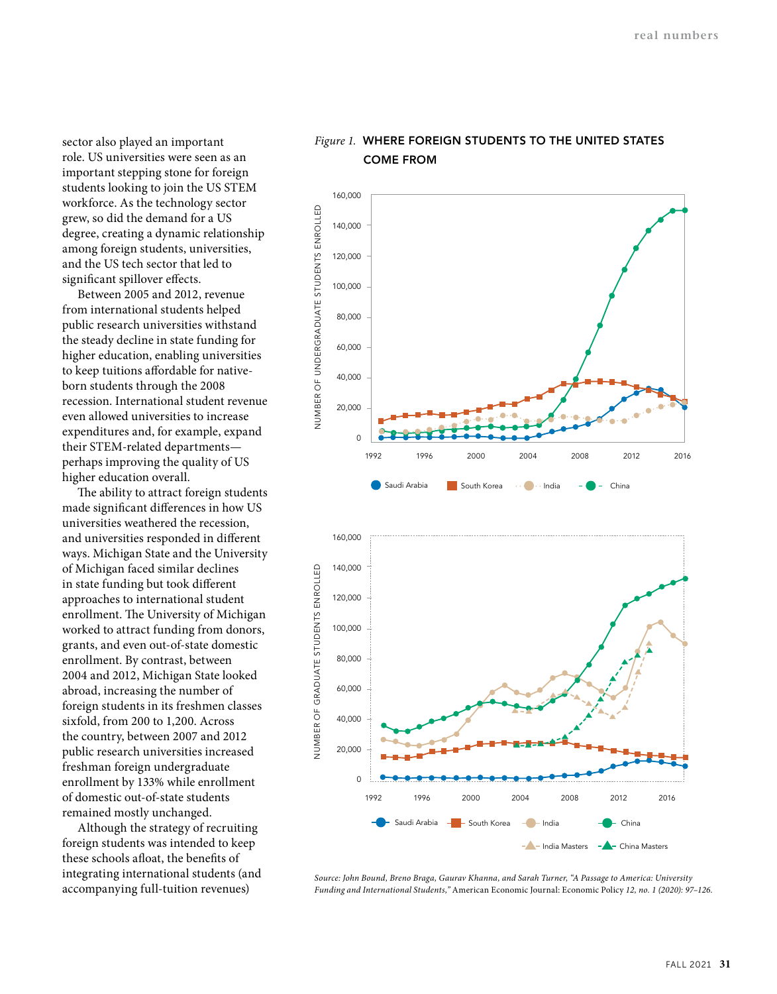sector also played an important role. US universities were seen as an important stepping stone for foreign students looking to join the US STEM workforce. As the technology sector grew, so did the demand for a US degree, creating a dynamic relationship among foreign students, universities, and the US tech sector that led to significant spillover effects.

Between 2005 and 2012, revenue from international students helped public research universities withstand the steady decline in state funding for higher education, enabling universities to keep tuitions affordable for nativeborn students through the 2008 recession. International student revenue even allowed universities to increase expenditures and, for example, expand their STEM-related departments perhaps improving the quality of US higher education overall.

The ability to attract foreign students made significant differences in how US universities weathered the recession, and universities responded in different ways. Michigan State and the University of Michigan faced similar declines in state funding but took different approaches to international student enrollment. The University of Michigan worked to attract funding from donors, grants, and even out-of-state domestic enrollment. By contrast, between 2004 and 2012, Michigan State looked abroad, increasing the number of foreign students in its freshmen classes sixfold, from 200 to 1,200. Across the country, between 2007 and 2012 public research universities increased freshman foreign undergraduate enrollment by 133% while enrollment of domestic out-of-state students remained mostly unchanged.

Although the strategy of recruiting foreign students was intended to keep these schools afloat, the benefits of integrating international students (and accompanying full-tuition revenues)

## *Figure 1.* **WHERE FOREIGN STUDENTS TO THE UNITED STATES COME FROM**





*Source: John Bound, Breno Braga, Gaurav Khanna, and Sarah Turner, "A Passage to America: University Funding and International Students,"* American Economic Journal: Economic Policy *12, no. 1 (2020): 97–126.*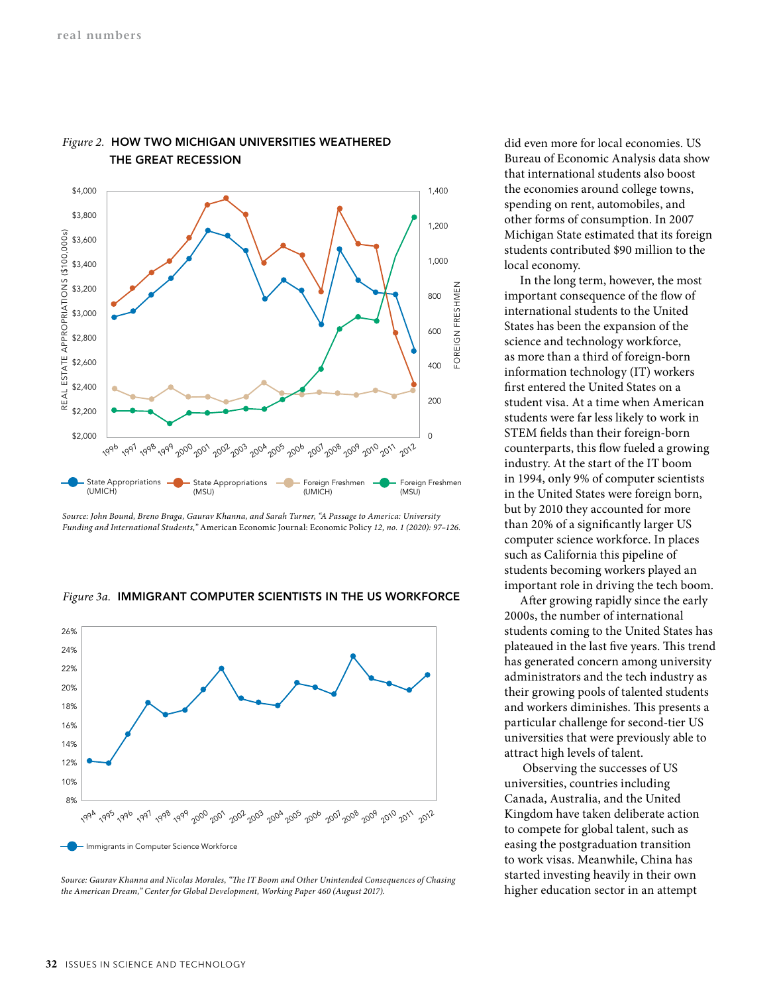

#### *Figure 2.* **HOW TWO MICHIGAN UNIVERSITIES WEATHERED THE GREAT RECESSION**

*Source: John Bound, Breno Braga, Gaurav Khanna, and Sarah Turner, "A Passage to America: University Funding and International Students,"* American Economic Journal: Economic Policy *12, no. 1 (2020): 97–126.*





*Source: Gaurav Khanna and Nicolas Morales, "The IT Boom and Other Unintended Consequences of Chasing the American Dream," Center for Global Development, Working Paper 460 (August 2017).*

did even more for local economies. US Bureau of Economic Analysis data show that international students also boost the economies around college towns, spending on rent, automobiles, and other forms of consumption. In 2007 Michigan State estimated that its foreign students contributed \$90 million to the local economy.

In the long term, however, the most important consequence of the flow of international students to the United States has been the expansion of the science and technology workforce, as more than a third of foreign-born information technology (IT) workers first entered the United States on a student visa. At a time when American students were far less likely to work in STEM fields than their foreign-born counterparts, this flow fueled a growing industry. At the start of the IT boom in 1994, only 9% of computer scientists in the United States were foreign born, but by 2010 they accounted for more than 20% of a significantly larger US computer science workforce. In places such as California this pipeline of students becoming workers played an important role in driving the tech boom.

After growing rapidly since the early 2000s, the number of international students coming to the United States has plateaued in the last five years. This trend has generated concern among university administrators and the tech industry as their growing pools of talented students and workers diminishes. This presents a particular challenge for second-tier US universities that were previously able to attract high levels of talent.

 Observing the successes of US universities, countries including Canada, Australia, and the United Kingdom have taken deliberate action to compete for global talent, such as easing the postgraduation transition to work visas. Meanwhile, China has started investing heavily in their own higher education sector in an attempt